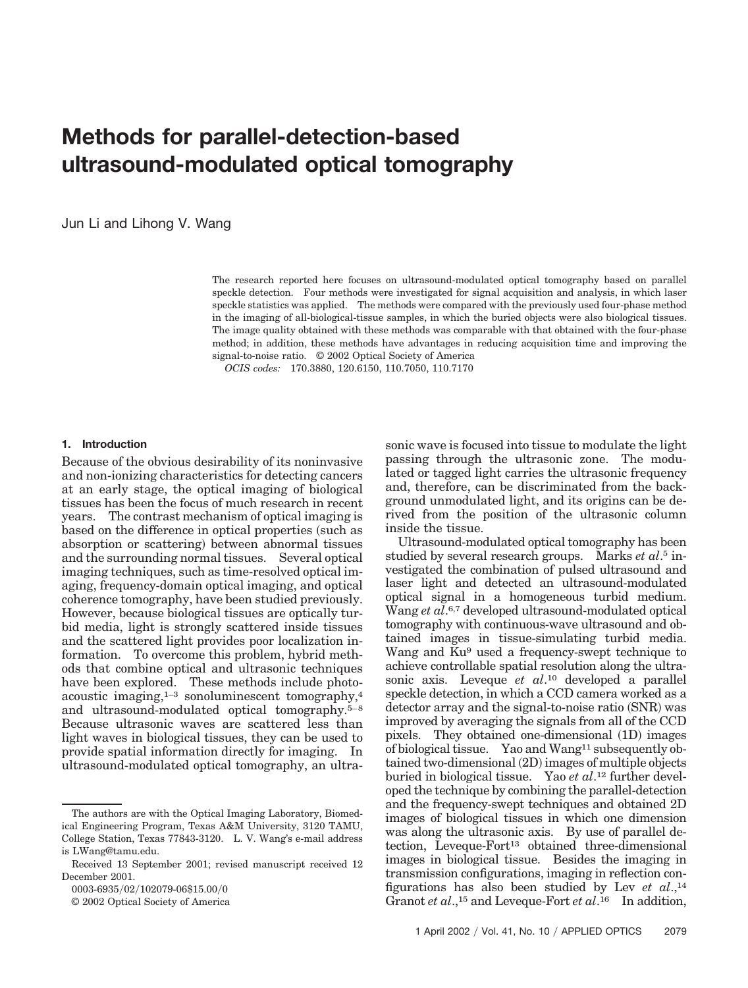# **Methods for parallel-detection-based ultrasound-modulated optical tomography**

Jun Li and Lihong V. Wang

The research reported here focuses on ultrasound-modulated optical tomography based on parallel speckle detection. Four methods were investigated for signal acquisition and analysis, in which laser speckle statistics was applied. The methods were compared with the previously used four-phase method in the imaging of all-biological-tissue samples, in which the buried objects were also biological tissues. The image quality obtained with these methods was comparable with that obtained with the four-phase method; in addition, these methods have advantages in reducing acquisition time and improving the signal-to-noise ratio. © 2002 Optical Society of America

*OCIS codes:* 170.3880, 120.6150, 110.7050, 110.7170

#### **1. Introduction**

Because of the obvious desirability of its noninvasive and non-ionizing characteristics for detecting cancers at an early stage, the optical imaging of biological tissues has been the focus of much research in recent years. The contrast mechanism of optical imaging is based on the difference in optical properties (such as absorption or scattering) between abnormal tissues and the surrounding normal tissues. Several optical imaging techniques, such as time-resolved optical imaging, frequency-domain optical imaging, and optical coherence tomography, have been studied previously. However, because biological tissues are optically turbid media, light is strongly scattered inside tissues and the scattered light provides poor localization information. To overcome this problem, hybrid methods that combine optical and ultrasonic techniques have been explored. These methods include photoacoustic imaging,1–3 sonoluminescent tomography,4 and ultrasound-modulated optical tomography.5–8 Because ultrasonic waves are scattered less than light waves in biological tissues, they can be used to provide spatial information directly for imaging. In ultrasound-modulated optical tomography, an ultra-

0003-6935/02/102079-06\$15.00/0

© 2002 Optical Society of America

sonic wave is focused into tissue to modulate the light passing through the ultrasonic zone. The modulated or tagged light carries the ultrasonic frequency and, therefore, can be discriminated from the background unmodulated light, and its origins can be derived from the position of the ultrasonic column inside the tissue.

Ultrasound-modulated optical tomography has been studied by several research groups. Marks *et al*. <sup>5</sup> investigated the combination of pulsed ultrasound and laser light and detected an ultrasound-modulated optical signal in a homogeneous turbid medium. Wang *et al*. 6,7 developed ultrasound-modulated optical tomography with continuous-wave ultrasound and obtained images in tissue-simulating turbid media. Wang and Ku<sup>9</sup> used a frequency-swept technique to achieve controllable spatial resolution along the ultrasonic axis. Leveque *et al*. <sup>10</sup> developed a parallel speckle detection, in which a CCD camera worked as a detector array and the signal-to-noise ratio (SNR) was improved by averaging the signals from all of the CCD pixels. They obtained one-dimensional (1D) images of biological tissue. Yao and Wang11 subsequently obtained two-dimensional (2D) images of multiple objects buried in biological tissue. Yao *et al*. <sup>12</sup> further developed the technique by combining the parallel-detection and the frequency-swept techniques and obtained 2D images of biological tissues in which one dimension was along the ultrasonic axis. By use of parallel detection, Leveque-Fort<sup>13</sup> obtained three-dimensional images in biological tissue. Besides the imaging in transmission configurations, imaging in reflection configurations has also been studied by Lev *et al*.,14 Granot *et al.*,<sup>15</sup> and Leveque-Fort *et al*.<sup>16</sup> In addition,

The authors are with the Optical Imaging Laboratory, Biomedical Engineering Program, Texas A&M University, 3120 TAMU, College Station, Texas 77843-3120. L. V. Wang's e-mail address is LWang@tamu.edu.

Received 13 September 2001; revised manuscript received 12 December 2001.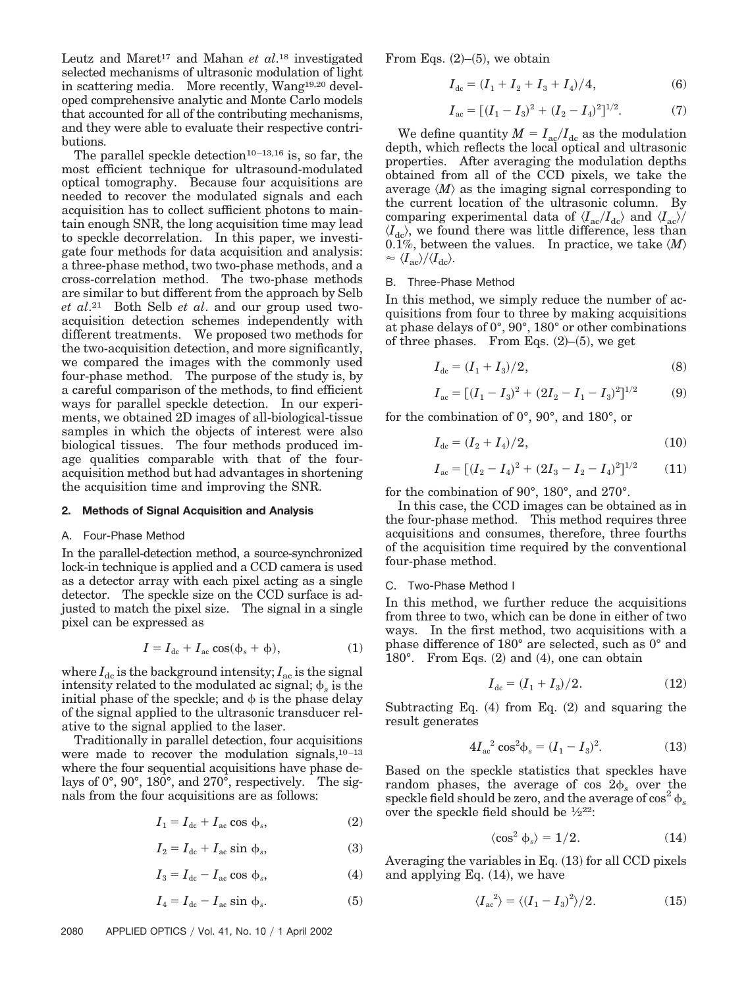Leutz and Maret<sup>17</sup> and Mahan *et al*.<sup>18</sup> investigated selected mechanisms of ultrasonic modulation of light in scattering media. More recently, Wang19,20 developed comprehensive analytic and Monte Carlo models that accounted for all of the contributing mechanisms, and they were able to evaluate their respective contributions.

The parallel speckle detection<sup>10–13,16</sup> is, so far, the most efficient technique for ultrasound-modulated optical tomography. Because four acquisitions are needed to recover the modulated signals and each acquisition has to collect sufficient photons to maintain enough SNR, the long acquisition time may lead to speckle decorrelation. In this paper, we investigate four methods for data acquisition and analysis: a three-phase method, two two-phase methods, and a cross-correlation method. The two-phase methods are similar to but different from the approach by Selb *et al*.21 Both Selb *et al*. and our group used twoacquisition detection schemes independently with different treatments. We proposed two methods for the two-acquisition detection, and more significantly, we compared the images with the commonly used four-phase method. The purpose of the study is, by a careful comparison of the methods, to find efficient ways for parallel speckle detection. In our experiments, we obtained 2D images of all-biological-tissue samples in which the objects of interest were also biological tissues. The four methods produced image qualities comparable with that of the fouracquisition method but had advantages in shortening the acquisition time and improving the SNR.

#### **2. Methods of Signal Acquisition and Analysis**

#### A. Four-Phase Method

In the parallel-detection method, a source-synchronized lock-in technique is applied and a CCD camera is used as a detector array with each pixel acting as a single detector. The speckle size on the CCD surface is adjusted to match the pixel size. The signal in a single pixel can be expressed as

$$
I = I_{\text{dc}} + I_{\text{ac}} \cos(\phi_s + \phi), \tag{1}
$$

where  $I_{dc}$  is the background intensity;  $I_{ac}$  is the signal intensity related to the modulated ac signal;  $\phi_s$  is the initial phase of the speckle; and  $\phi$  is the phase delay of the signal applied to the ultrasonic transducer relative to the signal applied to the laser.

Traditionally in parallel detection, four acquisitions were made to recover the modulation signals,  $10-13$ where the four sequential acquisitions have phase delays of 0°, 90°, 180°, and 270°, respectively. The signals from the four acquisitions are as follows:

$$
I_1 = I_{\text{dc}} + I_{\text{ac}} \cos \phi_s, \tag{2}
$$

$$
I_2 = I_{\text{dc}} + I_{\text{ac}} \sin \phi_s, \tag{3}
$$

$$
I_3 = I_{\text{dc}} - I_{\text{ac}} \cos \phi_s, \tag{4}
$$

$$
I_4 = I_{\text{dc}} - I_{\text{ac}} \sin \phi_s. \tag{5}
$$

From Eqs.  $(2)$ – $(5)$ , we obtain

$$
I_{\text{dc}} = (I_1 + I_2 + I_3 + I_4)/4, \tag{6}
$$

$$
I_{ac} = [(I_1 - I_3)^2 + (I_2 - I_4)^2]^{1/2}.
$$
 (7)

We define quantity  $M = I_{ac}/I_{dc}$  as the modulation depth, which reflects the local optical and ultrasonic properties. After averaging the modulation depths obtained from all of the CCD pixels, we take the average  $\langle M \rangle$  as the imaging signal corresponding to the current location of the ultrasonic column. By comparing experimental data of  $\langle I_{\rm ac}/I_{\rm dc} \rangle$  and  $\langle I_{\rm ac} \rangle$  $\langle I_{\text{dc}}\rangle$ , we found there was little difference, less than 0.1%, between the values. In practice, we take  $\langle M \rangle$  $\approx \langle I_{\rm ac}\rangle/\langle I_{\rm dc}\rangle$ .

# B. Three-Phase Method

In this method, we simply reduce the number of acquisitions from four to three by making acquisitions at phase delays of 0°, 90°, 180° or other combinations of three phases. From Eqs.  $(2)$ – $(5)$ , we get

$$
I_{\text{dc}} = (I_1 + I_3)/2,\tag{8}
$$

$$
I_{ac} = [(I_1 - I_3)^2 + (2I_2 - I_1 - I_3)^2]^{1/2}
$$
 (9)

for the combination of 0°, 90°, and 180°, or

$$
I_{\rm dc} = (I_2 + I_4)/2, \tag{10}
$$

$$
I_{ac} = [(I_2 - I_4)^2 + (2I_3 - I_2 - I_4)^2]^{1/2}
$$
 (11)

for the combination of 90°, 180°, and 270°.

In this case, the CCD images can be obtained as in the four-phase method. This method requires three acquisitions and consumes, therefore, three fourths of the acquisition time required by the conventional four-phase method.

## C. Two-Phase Method I

In this method, we further reduce the acquisitions from three to two, which can be done in either of two ways. In the first method, two acquisitions with a phase difference of 180° are selected, such as 0° and 180 $^{\circ}$ . From Eqs. (2) and (4), one can obtain

$$
I_{\text{dc}} = (I_1 + I_3)/2. \tag{12}
$$

Subtracting Eq.  $(4)$  from Eq.  $(2)$  and squaring the result generates

$$
4I_{ac}^2 \cos^2 \phi_s = (I_1 - I_3)^2. \tag{13}
$$

Based on the speckle statistics that speckles have random phases, the average of cos  $2\phi_s$  over the speckle field should be zero, and the average of  $\cos^2 \phi$ . over the speckle field should be  $\frac{1}{2}22$ :

$$
\langle \cos^2 \phi_s \rangle = 1/2. \tag{14}
$$

Averaging the variables in Eq. (13) for all CCD pixels and applying Eq.  $(14)$ , we have

$$
\langle I_{ac}^2 \rangle = \langle (I_1 - I_3)^2 \rangle / 2. \tag{15}
$$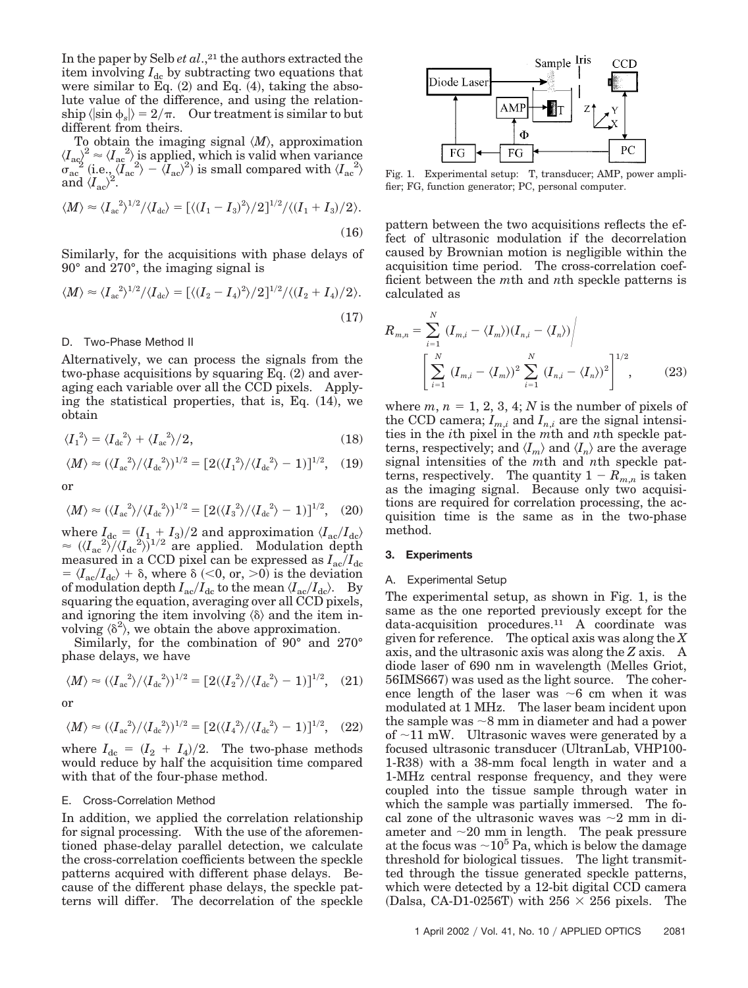In the paper by Selb *et al.*,<sup>21</sup> the authors extracted the item involving  $I_{dc}$  by subtracting two equations that were similar to Eq.  $(2)$  and Eq.  $(4)$ , taking the absolute value of the difference, and using the relation- $\ket{\sin\phi_s} = 2/\pi. \quad \text{Our treatment is similar to but}$ different from theirs.

To obtain the imaging signal *M*, approximation  $\langle I_{\rm ac} \rangle^2 \approx \langle I_{\rm ac} \rangle$  is applied, which is valid when variance  $\sigma_{\rm ac}^{\rm ac}$  (i.e.,  $\langle \tilde{I}_{\rm ac}^{\ 2} \rangle - \langle I_{\rm ac} \rangle^2$ ) is small compared with  $\langle I_{\rm ac}^{\ 2} \rangle$ and  $\langle I_{\rm ac} \rangle^2$ .

$$
\langle M \rangle \approx \langle I_{ac}^2 \rangle^{1/2} / \langle I_{dc} \rangle = \left[ \langle (I_1 - I_3)^2 \rangle / 2 \right]^{1/2} / \langle (I_1 + I_3) / 2 \rangle.
$$
\n(16)

Similarly, for the acquisitions with phase delays of 90° and 270°, the imaging signal is

$$
\langle M \rangle \approx \langle I_{ac}^2 \rangle^{1/2} / \langle I_{dc} \rangle = \left[ \langle (I_2 - I_4)^2 \rangle / 2 \right]^{1/2} / \langle (I_2 + I_4) / 2 \rangle.
$$
\n(17)

# D. Two-Phase Method II

Alternatively, we can process the signals from the two-phase acquisitions by squaring Eq.  $(2)$  and averaging each variable over all the CCD pixels. Applying the statistical properties, that is, Eq.  $(14)$ , we obtain

$$
\langle I_1^2 \rangle = \langle I_{\text{dc}}^2 \rangle + \langle I_{\text{ac}}^2 \rangle / 2, \tag{18}
$$

$$
\langle M \rangle \approx (\langle I_{\text{ac}}^2 \rangle / \langle I_{\text{dc}}^2 \rangle)^{1/2} = [2(\langle I_1^2 \rangle / \langle I_{\text{dc}}^2 \rangle - 1)]^{1/2}, \quad (19)
$$

or

$$
\langle M \rangle \approx (\langle I_{ac}^2 \rangle / \langle I_{dc}^2 \rangle)^{1/2} = [2(\langle I_3^2 \rangle / \langle I_{dc}^2 \rangle - 1)]^{1/2}, \quad (20)
$$

where  $I_{\text{dc}} = (I_1 + I_3)/2$  and approximation  $\langle I_{\text{ac}}/I_{\text{dc}}\rangle$  $\approx$   $(\langle I_{ac}^2 \rangle)/(\langle I_{dc}^2 \rangle)^{1/2}$  are applied. Modulation depth measured in a CCD pixel can be expressed as  $I_{ac}/I_{dc}$  $= \langle I_{\rm ac}/I_{\rm dc} \rangle + \delta$ , where  $\delta$  (<0, or, >0) is the deviation of modulation depth  $I_{\rm ac}/I_{\rm dc}$  to the mean  $\langle I_{\rm ac}/I_{\rm dc}\rangle$ . By squaring the equation, averaging over all CCD pixels, and ignoring the item involving  $\langle \delta \rangle$  and the item involving  $\langle \delta^2 \rangle$ , we obtain the above approximation.

Similarly, for the combination of 90° and 270° phase delays, we have

$$
\langle M \rangle \approx (\langle I_{ac}^2 \rangle / \langle I_{dc}^2 \rangle)^{1/2} = [2(\langle I_2^2 \rangle / \langle I_{dc}^2 \rangle - 1)]^{1/2}, \quad (21)
$$

or

$$
\langle M \rangle \approx (\langle I_{ac}^2 \rangle / \langle I_{dc}^2 \rangle)^{1/2} = [2(\langle I_4^2 \rangle / \langle I_{dc}^2 \rangle - 1)]^{1/2}, \quad (22)
$$

where  $I_{\text{dc}} = (I_2 + I_4)/2$ . The two-phase methods would reduce by half the acquisition time compared with that of the four-phase method.

## E. Cross-Correlation Method

In addition, we applied the correlation relationship for signal processing. With the use of the aforementioned phase-delay parallel detection, we calculate the cross-correlation coefficients between the speckle patterns acquired with different phase delays. Because of the different phase delays, the speckle patterns will differ. The decorrelation of the speckle



Fig. 1. Experimental setup: T, transducer; AMP, power amplifier; FG, function generator; PC, personal computer.

pattern between the two acquisitions reflects the effect of ultrasonic modulation if the decorrelation caused by Brownian motion is negligible within the acquisition time period. The cross-correlation coefficient between the *m*th and *n*th speckle patterns is calculated as

$$
R_{m,n} = \sum_{i=1}^{N} (I_{m,i} - \langle I_m \rangle)(I_{n,i} - \langle I_n \rangle) / \left[ \sum_{i=1}^{N} (I_{m,i} - \langle I_m \rangle)^2 \sum_{i=1}^{N} (I_{n,i} - \langle I_n \rangle)^2 \right]^{1/2},
$$
(23)

where  $m, n = 1, 2, 3, 4; N$  is the number of pixels of the CCD camera;  $I_{m,i}$  and  $I_{n,i}$  are the signal intensities in the *i*th pixel in the *m*th and *n*th speckle patterns, respectively; and  $\langle I_m \rangle$  and  $\langle I_n \rangle$  are the average signal intensities of the *m*th and *n*th speckle patterns, respectively. The quantity  $1 - R_{m,n}$  is taken as the imaging signal. Because only two acquisitions are required for correlation processing, the acquisition time is the same as in the two-phase method.

### **3. Experiments**

# A. Experimental Setup

The experimental setup, as shown in Fig. 1, is the same as the one reported previously except for the data-acquisition procedures.11 A coordinate was given for reference. The optical axis was along the *X* axis, and the ultrasonic axis was along the *Z* axis. A diode laser of 690 nm in wavelength Melles Griot, 56IMS667) was used as the light source. The coherence length of the laser was  $\sim$ 6 cm when it was modulated at 1 MHz. The laser beam incident upon the sample was  $\sim$ 8 mm in diameter and had a power of  $\sim$ 11 mW. Ultrasonic waves were generated by a focused ultrasonic transducer UltranLab, VHP100- 1-R38) with a 38-mm focal length in water and a 1-MHz central response frequency, and they were coupled into the tissue sample through water in which the sample was partially immersed. The focal zone of the ultrasonic waves was  $\sim$ 2 mm in diameter and  $\sim$ 20 mm in length. The peak pressure at the focus was  $\sim 10^5$  Pa, which is below the damage threshold for biological tissues. The light transmitted through the tissue generated speckle patterns, which were detected by a 12-bit digital CCD camera (Dalsa, CA-D1-0256T) with  $256 \times 256$  pixels. The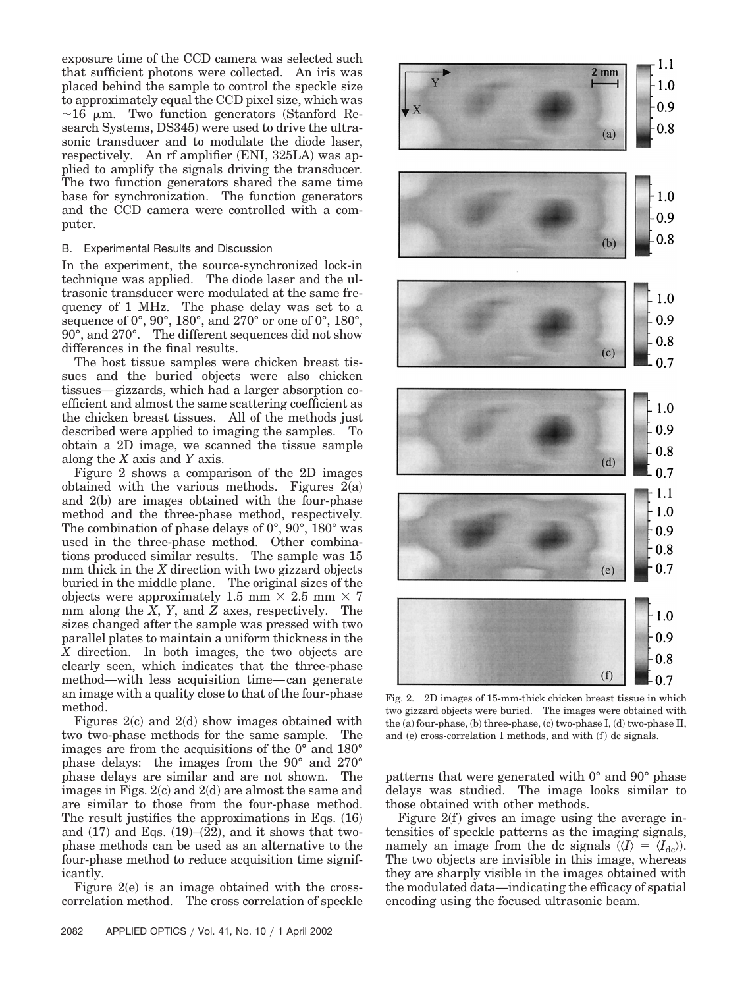exposure time of the CCD camera was selected such that sufficient photons were collected. An iris was placed behind the sample to control the speckle size to approximately equal the CCD pixel size, which was  $\sim$ 16  $\mu$ m. Two function generators (Stanford Research Systems, DS345) were used to drive the ultrasonic transducer and to modulate the diode laser, respectively. An rf amplifier (ENI, 325LA) was applied to amplify the signals driving the transducer. The two function generators shared the same time base for synchronization. The function generators and the CCD camera were controlled with a computer.

# B. Experimental Results and Discussion

In the experiment, the source-synchronized lock-in technique was applied. The diode laser and the ultrasonic transducer were modulated at the same frequency of 1 MHz. The phase delay was set to a sequence of 0°, 90°, 180°, and 270° or one of 0°, 180°, 90°, and 270°. The different sequences did not show differences in the final results.

The host tissue samples were chicken breast tissues and the buried objects were also chicken tissues—gizzards, which had a larger absorption coefficient and almost the same scattering coefficient as the chicken breast tissues. All of the methods just described were applied to imaging the samples. To obtain a 2D image, we scanned the tissue sample along the *X* axis and *Y* axis.

Figure 2 shows a comparison of the 2D images obtained with the various methods. Figures  $2(a)$ and  $2(b)$  are images obtained with the four-phase method and the three-phase method, respectively. The combination of phase delays of 0°, 90°, 180° was used in the three-phase method. Other combinations produced similar results. The sample was 15 mm thick in the *X* direction with two gizzard objects buried in the middle plane. The original sizes of the objects were approximately 1.5 mm  $\times$  2.5 mm  $\times$  7 mm along the  $\overline{X}$ ,  $Y$ , and  $\overline{Z}$  axes, respectively. The sizes changed after the sample was pressed with two parallel plates to maintain a uniform thickness in the *X* direction. In both images, the two objects are clearly seen, which indicates that the three-phase method—with less acquisition time—can generate an image with a quality close to that of the four-phase method.

Figures  $2(c)$  and  $2(d)$  show images obtained with two two-phase methods for the same sample. The images are from the acquisitions of the 0° and 180° phase delays: the images from the 90° and 270° phase delays are similar and are not shown. The images in Figs. 2(c) and 2(d) are almost the same and are similar to those from the four-phase method. The result justifies the approximations in Eqs.  $(16)$ and  $(17)$  and Eqs.  $(19)$ – $(22)$ , and it shows that twophase methods can be used as an alternative to the four-phase method to reduce acquisition time significantly.

Figure  $2(e)$  is an image obtained with the crosscorrelation method. The cross correlation of speckle



Fig. 2. 2D images of 15-mm-thick chicken breast tissue in which two gizzard objects were buried. The images were obtained with the (a) four-phase, (b) three-phase, (c) two-phase I, (d) two-phase II, and (e) cross-correlation I methods, and with (f) dc signals.

patterns that were generated with 0° and 90° phase delays was studied. The image looks similar to those obtained with other methods.

Figure  $2(f)$  gives an image using the average intensities of speckle patterns as the imaging signals, namely an image from the dc signals  $(\langle I \rangle = \langle I_{\text{dc}} \rangle)$ . The two objects are invisible in this image, whereas they are sharply visible in the images obtained with the modulated data—indicating the efficacy of spatial encoding using the focused ultrasonic beam.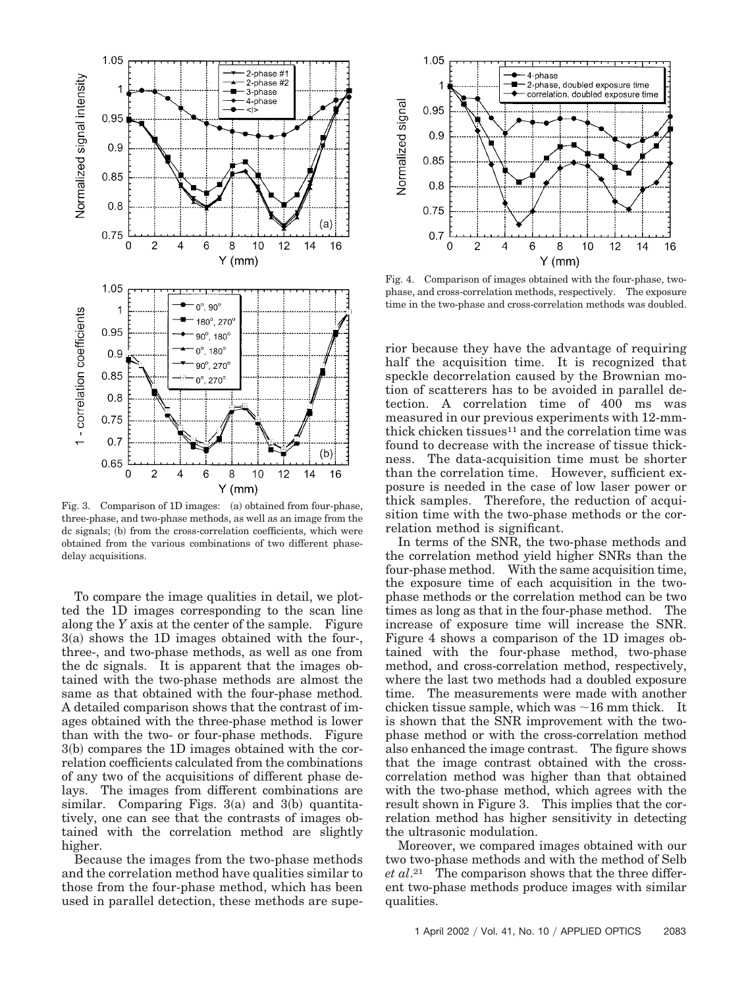

Fig. 3. Comparison of 1D images: (a) obtained from four-phase, three-phase, and two-phase methods, as well as an image from the dc signals; (b) from the cross-correlation coefficients, which were obtained from the various combinations of two different phasedelay acquisitions.

To compare the image qualities in detail, we plotted the 1D images corresponding to the scan line along the *Y* axis at the center of the sample. Figure 3(a) shows the 1D images obtained with the four-, three-, and two-phase methods, as well as one from the dc signals. It is apparent that the images obtained with the two-phase methods are almost the same as that obtained with the four-phase method. A detailed comparison shows that the contrast of images obtained with the three-phase method is lower than with the two- or four-phase methods. Figure 3(b) compares the 1D images obtained with the correlation coefficients calculated from the combinations of any two of the acquisitions of different phase delays. The images from different combinations are similar. Comparing Figs.  $3(a)$  and  $3(b)$  quantitatively, one can see that the contrasts of images obtained with the correlation method are slightly higher.

Because the images from the two-phase methods and the correlation method have qualities similar to those from the four-phase method, which has been used in parallel detection, these methods are supe-



Fig. 4. Comparison of images obtained with the four-phase, twophase, and cross-correlation methods, respectively. The exposure time in the two-phase and cross-correlation methods was doubled.

rior because they have the advantage of requiring half the acquisition time. It is recognized that speckle decorrelation caused by the Brownian motion of scatterers has to be avoided in parallel detection. A correlation time of 400 ms was measured in our previous experiments with 12-mmthick chicken tissues $11$  and the correlation time was found to decrease with the increase of tissue thickness. The data-acquisition time must be shorter than the correlation time. However, sufficient exposure is needed in the case of low laser power or thick samples. Therefore, the reduction of acquisition time with the two-phase methods or the correlation method is significant.

In terms of the SNR, the two-phase methods and the correlation method yield higher SNRs than the four-phase method. With the same acquisition time, the exposure time of each acquisition in the twophase methods or the correlation method can be two times as long as that in the four-phase method. The increase of exposure time will increase the SNR. Figure 4 shows a comparison of the 1D images obtained with the four-phase method, two-phase method, and cross-correlation method, respectively, where the last two methods had a doubled exposure time. The measurements were made with another chicken tissue sample, which was  $\sim$ 16 mm thick. It is shown that the SNR improvement with the twophase method or with the cross-correlation method also enhanced the image contrast. The figure shows that the image contrast obtained with the crosscorrelation method was higher than that obtained with the two-phase method, which agrees with the result shown in Figure 3. This implies that the correlation method has higher sensitivity in detecting the ultrasonic modulation.

Moreover, we compared images obtained with our two two-phase methods and with the method of Selb *et al*.21 The comparison shows that the three different two-phase methods produce images with similar qualities.